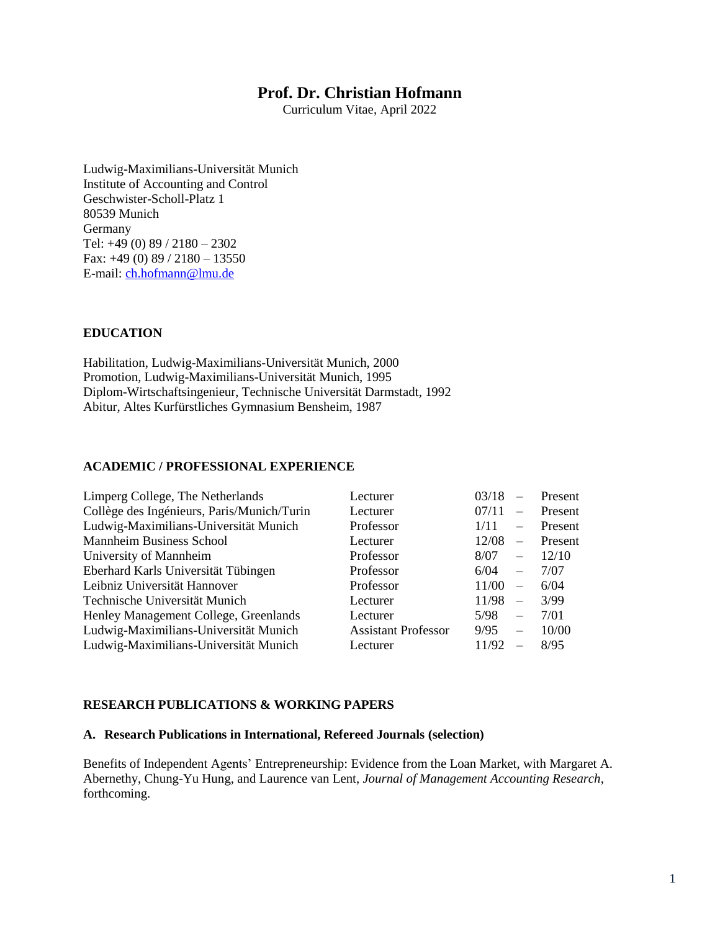# **Prof. Dr. Christian Hofmann**

Curriculum Vitae, April 2022

Ludwig-Maximilians-Universität Munich Institute of Accounting and Control Geschwister-Scholl-Platz 1 80539 Munich Germany Tel: +49 (0) 89 / 2180 – 2302 Fax:  $+49(0) 89/2180 - 13550$ E-mail: [ch.hofmann@lmu.de](mailto:ch.hofmann@lmu.de)

# **EDUCATION**

Habilitation, Ludwig-Maximilians-Universität Munich, 2000 Promotion, Ludwig-Maximilians-Universität Munich, 1995 Diplom-Wirtschaftsingenieur, Technische Universität Darmstadt, 1992 Abitur, Altes Kurfürstliches Gymnasium Bensheim, 1987

## **ACADEMIC / PROFESSIONAL EXPERIENCE**

| Limperg College, The Netherlands           | Lecturer                   | 03/18 | $\frac{1}{2}$            | Present |
|--------------------------------------------|----------------------------|-------|--------------------------|---------|
| Collège des Ingénieurs, Paris/Munich/Turin | Lecturer                   | 07/11 | $-$                      | Present |
| Ludwig-Maximilians-Universität Munich      | Professor                  | 1/11  | $\overline{\phantom{0}}$ | Present |
| <b>Mannheim Business School</b>            | Lecturer                   | 12/08 | $\equiv$                 | Present |
| University of Mannheim                     | Professor                  | 8/07  | $\overline{\phantom{0}}$ | 12/10   |
| Eberhard Karls Universität Tübingen        | Professor                  | 6/04  | $\overline{\phantom{m}}$ | 7/07    |
| Leibniz Universität Hannover               | Professor                  | 11/00 | $\overline{\phantom{0}}$ | 6/04    |
| Technische Universität Munich              | Lecturer                   | 11/98 | $\equiv$                 | 3/99    |
| Henley Management College, Greenlands      | Lecturer                   | 5/98  | $\overline{\phantom{m}}$ | 7/01    |
| Ludwig-Maximilians-Universität Munich      | <b>Assistant Professor</b> | 9/95  | $\equiv$                 | 10/00   |
| Ludwig-Maximilians-Universität Munich      | Lecturer                   | 11/92 | $\overline{\phantom{0}}$ | 8/95    |

#### **RESEARCH PUBLICATIONS & WORKING PAPERS**

## **A. Research Publications in International, Refereed Journals (selection)**

Benefits of Independent Agents' Entrepreneurship: Evidence from the Loan Market, with Margaret A. Abernethy, Chung-Yu Hung, and Laurence van Lent, *Journal of Management Accounting Research*, forthcoming.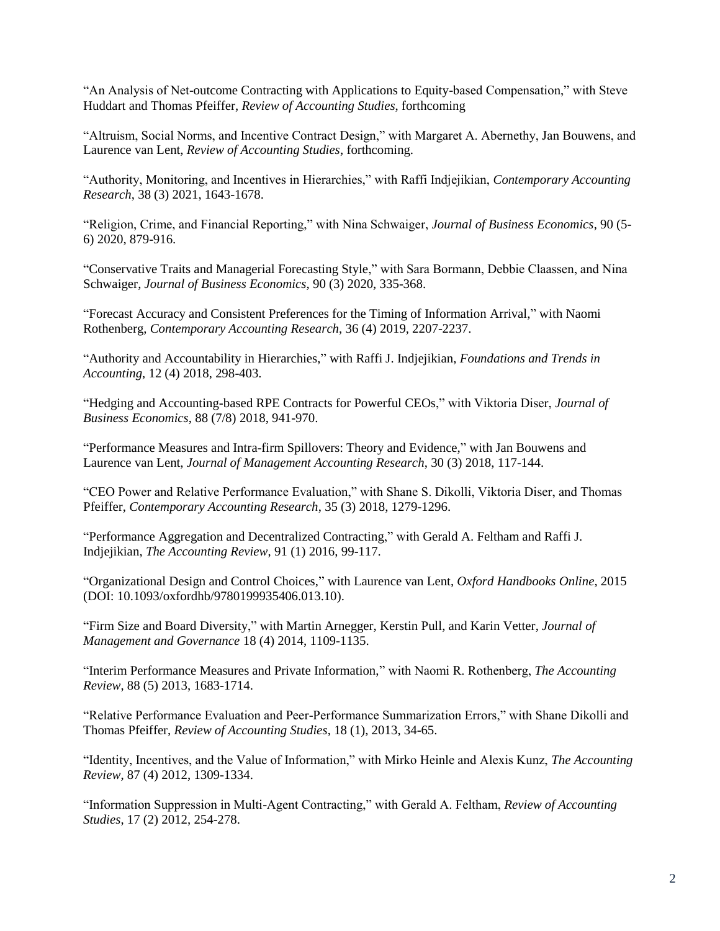"An Analysis of Net-outcome Contracting with Applications to Equity-based Compensation," with Steve Huddart and Thomas Pfeiffer, *Review of Accounting Studies*, forthcoming

"Altruism, Social Norms, and Incentive Contract Design," with Margaret A. Abernethy, Jan Bouwens, and Laurence van Lent, *Review of Accounting Studies*, forthcoming.

"Authority, Monitoring, and Incentives in Hierarchies," with Raffi Indjejikian, *Contemporary Accounting Research*, 38 (3) 2021, 1643-1678.

"Religion, Crime, and Financial Reporting," with Nina Schwaiger, *Journal of Business Economics*, 90 (5- 6) 2020, 879-916.

"Conservative Traits and Managerial Forecasting Style," with Sara Bormann, Debbie Claassen, and Nina Schwaiger, *Journal of Business Economics*, 90 (3) 2020, 335-368.

"Forecast Accuracy and Consistent Preferences for the Timing of Information Arrival," with Naomi Rothenberg, *Contemporary Accounting Research*, 36 (4) 2019, 2207-2237.

"Authority and Accountability in Hierarchies," with Raffi J. Indjejikian, *Foundations and Trends in Accounting*, 12 (4) 2018, 298-403.

"Hedging and Accounting-based RPE Contracts for Powerful CEOs," with Viktoria Diser, *Journal of Business Economics*, 88 (7/8) 2018, 941-970.

"Performance Measures and Intra-firm Spillovers: Theory and Evidence," with Jan Bouwens and Laurence van Lent, *Journal of Management Accounting Research*, 30 (3) 2018, 117-144.

"CEO Power and Relative Performance Evaluation," with Shane S. Dikolli, Viktoria Diser, and Thomas Pfeiffer, *Contemporary Accounting Research*, 35 (3) 2018, 1279-1296.

"Performance Aggregation and Decentralized Contracting," with Gerald A. Feltham and Raffi J. Indjejikian, *The Accounting Review*, 91 (1) 2016, 99-117.

"Organizational Design and Control Choices," with Laurence van Lent, *Oxford Handbooks Online*, 2015 (DOI: 10.1093/oxfordhb/9780199935406.013.10).

"Firm Size and Board Diversity," with Martin Arnegger, Kerstin Pull, and Karin Vetter, *Journal of Management and Governance* 18 (4) 2014, 1109-1135.

"Interim Performance Measures and Private Information," with Naomi R. Rothenberg, *The Accounting Review*, 88 (5) 2013, 1683-1714.

"Relative Performance Evaluation and Peer-Performance Summarization Errors," with Shane Dikolli and Thomas Pfeiffer, *Review of Accounting Studies*, 18 (1), 2013, 34-65.

"Identity, Incentives, and the Value of Information," with Mirko Heinle and Alexis Kunz, *The Accounting Review*, 87 (4) 2012, 1309-1334.

"Information Suppression in Multi-Agent Contracting," with Gerald A. Feltham, *Review of Accounting Studies*, 17 (2) 2012, 254-278.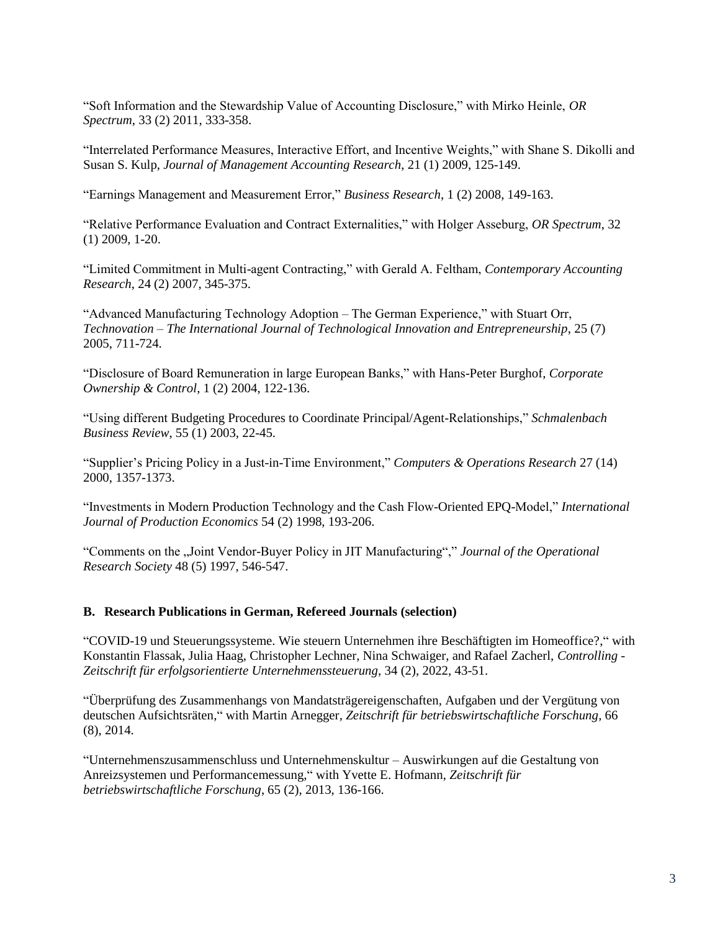"Soft Information and the Stewardship Value of Accounting Disclosure," with Mirko Heinle, *OR Spectrum*, 33 (2) 2011, 333-358.

"Interrelated Performance Measures, Interactive Effort, and Incentive Weights," with Shane S. Dikolli and Susan S. Kulp, *Journal of Management Accounting Research*, 21 (1) 2009, 125-149.

"Earnings Management and Measurement Error," *Business Research*, 1 (2) 2008, 149-163.

"Relative Performance Evaluation and Contract Externalities," with Holger Asseburg, *OR Spectrum*, 32 (1) 2009, 1-20.

"Limited Commitment in Multi-agent Contracting," with Gerald A. Feltham, *Contemporary Accounting Research*, 24 (2) 2007, 345-375.

"Advanced Manufacturing Technology Adoption – The German Experience," with Stuart Orr, *Technovation – The International Journal of Technological Innovation and Entrepreneurship*, 25 (7) 2005, 711-724.

"Disclosure of Board Remuneration in large European Banks," with Hans-Peter Burghof, *Corporate Ownership & Control*, 1 (2) 2004, 122-136.

"Using different Budgeting Procedures to Coordinate Principal/Agent-Relationships," *Schmalenbach Business Review*, 55 (1) 2003, 22-45.

"Supplier's Pricing Policy in a Just-in-Time Environment," *Computers & Operations Research* 27 (14) 2000, 1357-1373.

"Investments in Modern Production Technology and the Cash Flow-Oriented EPQ-Model," *International Journal of Production Economics* 54 (2) 1998, 193-206.

"Comments on the "Joint Vendor-Buyer Policy in JIT Manufacturing"," *Journal of the Operational Research Society* 48 (5) 1997, 546-547.

#### **B. Research Publications in German, Refereed Journals (selection)**

"COVID-19 und Steuerungssysteme. Wie steuern Unternehmen ihre Beschäftigten im Homeoffice?," with Konstantin Flassak, Julia Haag, Christopher Lechner, Nina Schwaiger, and Rafael Zacherl, *Controlling - Zeitschrift für erfolgsorientierte Unternehmenssteuerung*, 34 (2), 2022, 43-51.

"Überprüfung des Zusammenhangs von Mandatsträgereigenschaften, Aufgaben und der Vergütung von deutschen Aufsichtsräten," with Martin Arnegger, *Zeitschrift für betriebswirtschaftliche Forschung*, 66 (8), 2014.

"Unternehmenszusammenschluss und Unternehmenskultur – Auswirkungen auf die Gestaltung von Anreizsystemen und Performancemessung," with Yvette E. Hofmann, *Zeitschrift für betriebswirtschaftliche Forschung*, 65 (2), 2013, 136-166.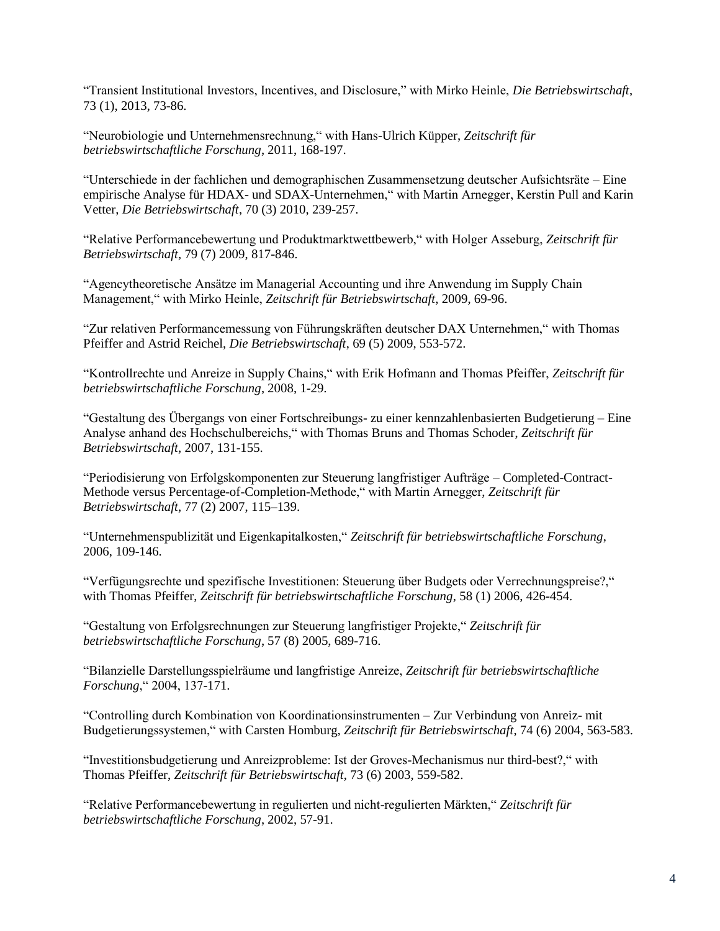"Transient Institutional Investors, Incentives, and Disclosure," with Mirko Heinle, *Die Betriebswirtschaft*, 73 (1), 2013, 73-86.

"Neurobiologie und Unternehmensrechnung," with Hans-Ulrich Küpper, *Zeitschrift für betriebswirtschaftliche Forschung*, 2011, 168-197.

"Unterschiede in der fachlichen und demographischen Zusammensetzung deutscher Aufsichtsräte – Eine empirische Analyse für HDAX- und SDAX-Unternehmen," with Martin Arnegger, Kerstin Pull and Karin Vetter, *Die Betriebswirtschaft*, 70 (3) 2010, 239-257.

"Relative Performancebewertung und Produktmarktwettbewerb," with Holger Asseburg, *Zeitschrift für Betriebswirtschaft*, 79 (7) 2009, 817-846.

"Agencytheoretische Ansätze im Managerial Accounting und ihre Anwendung im Supply Chain Management," with Mirko Heinle, *Zeitschrift für Betriebswirtschaft*, 2009, 69-96.

"Zur relativen Performancemessung von Führungskräften deutscher DAX Unternehmen," with Thomas Pfeiffer and Astrid Reichel, *Die Betriebswirtschaft*, 69 (5) 2009, 553-572.

"Kontrollrechte und Anreize in Supply Chains," with Erik Hofmann and Thomas Pfeiffer, *Zeitschrift für betriebswirtschaftliche Forschung*, 2008, 1-29.

"Gestaltung des Übergangs von einer Fortschreibungs- zu einer kennzahlenbasierten Budgetierung – Eine Analyse anhand des Hochschulbereichs," with Thomas Bruns and Thomas Schoder, *Zeitschrift für Betriebswirtschaft*, 2007, 131-155.

"Periodisierung von Erfolgskomponenten zur Steuerung langfristiger Aufträge – Completed-Contract-Methode versus Percentage-of-Completion-Methode," with Martin Arnegger, *Zeitschrift für Betriebswirtschaft*, 77 (2) 2007, 115–139.

"Unternehmenspublizität und Eigenkapitalkosten," *Zeitschrift für betriebswirtschaftliche Forschung*, 2006, 109-146.

"Verfügungsrechte und spezifische Investitionen: Steuerung über Budgets oder Verrechnungspreise?," with Thomas Pfeiffer, *Zeitschrift für betriebswirtschaftliche Forschung*, 58 (1) 2006, 426-454.

"Gestaltung von Erfolgsrechnungen zur Steuerung langfristiger Projekte," *Zeitschrift für betriebswirtschaftliche Forschung*, 57 (8) 2005, 689-716.

"Bilanzielle Darstellungsspielräume und langfristige Anreize, *Zeitschrift für betriebswirtschaftliche Forschung*," 2004, 137-171.

"Controlling durch Kombination von Koordinationsinstrumenten – Zur Verbindung von Anreiz- mit Budgetierungssystemen," with Carsten Homburg, *Zeitschrift für Betriebswirtschaft*, 74 (6) 2004, 563-583.

"Investitionsbudgetierung und Anreizprobleme: Ist der Groves-Mechanismus nur third-best?," with Thomas Pfeiffer, *Zeitschrift für Betriebswirtschaft*, 73 (6) 2003, 559-582.

"Relative Performancebewertung in regulierten und nicht-regulierten Märkten," *Zeitschrift für betriebswirtschaftliche Forschung*, 2002, 57-91.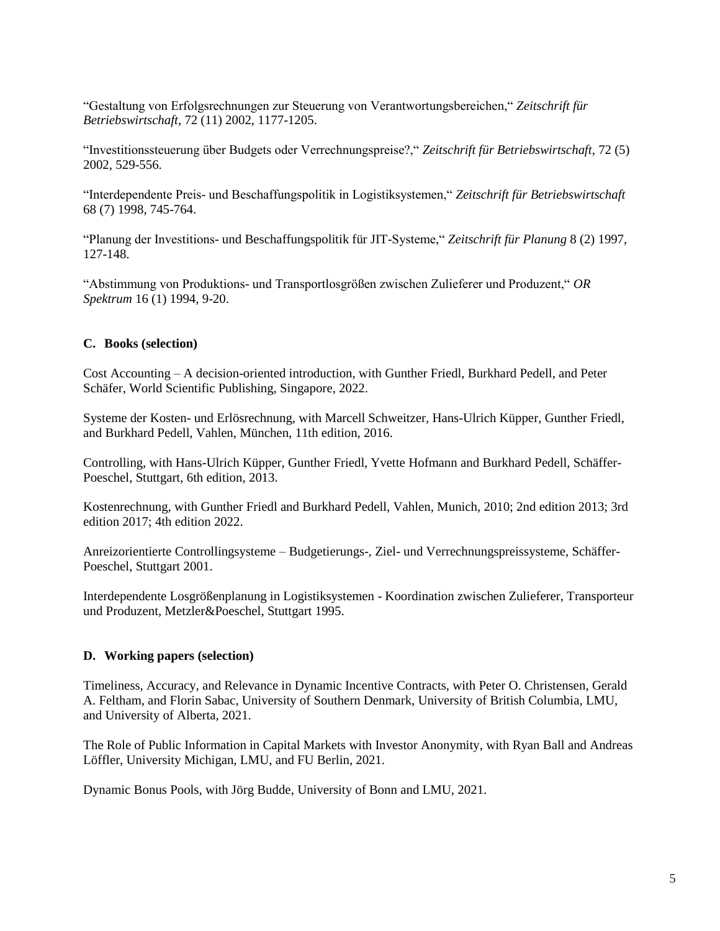"Gestaltung von Erfolgsrechnungen zur Steuerung von Verantwortungsbereichen," *Zeitschrift für Betriebswirtschaft*, 72 (11) 2002, 1177-1205.

"Investitionssteuerung über Budgets oder Verrechnungspreise?," *Zeitschrift für Betriebswirtschaft*, 72 (5) 2002, 529-556.

"Interdependente Preis- und Beschaffungspolitik in Logistiksystemen," *Zeitschrift für Betriebswirtschaft* 68 (7) 1998, 745-764.

"Planung der Investitions- und Beschaffungspolitik für JIT-Systeme," *Zeitschrift für Planung* 8 (2) 1997, 127-148.

"Abstimmung von Produktions- und Transportlosgrößen zwischen Zulieferer und Produzent," *OR Spektrum* 16 (1) 1994, 9-20.

## **C. Books (selection)**

Cost Accounting – A decision-oriented introduction, with Gunther Friedl, Burkhard Pedell, and Peter Schäfer, World Scientific Publishing, Singapore, 2022.

Systeme der Kosten- und Erlösrechnung, with Marcell Schweitzer, Hans-Ulrich Küpper, Gunther Friedl, and Burkhard Pedell, Vahlen, München, 11th edition, 2016.

Controlling, with Hans-Ulrich Küpper, Gunther Friedl, Yvette Hofmann and Burkhard Pedell, Schäffer-Poeschel, Stuttgart, 6th edition, 2013.

Kostenrechnung, with Gunther Friedl and Burkhard Pedell, Vahlen, Munich, 2010; 2nd edition 2013; 3rd edition 2017; 4th edition 2022.

Anreizorientierte Controllingsysteme – Budgetierungs-, Ziel- und Verrechnungspreissysteme, Schäffer-Poeschel, Stuttgart 2001.

Interdependente Losgrößenplanung in Logistiksystemen - Koordination zwischen Zulieferer, Transporteur und Produzent, Metzler&Poeschel, Stuttgart 1995.

#### **D. Working papers (selection)**

Timeliness, Accuracy, and Relevance in Dynamic Incentive Contracts, with Peter O. Christensen, Gerald A. Feltham, and Florin Sabac, University of Southern Denmark, University of British Columbia, LMU, and University of Alberta, 2021.

The Role of Public Information in Capital Markets with Investor Anonymity, with Ryan Ball and Andreas Löffler, University Michigan, LMU, and FU Berlin, 2021.

Dynamic Bonus Pools, with Jörg Budde, University of Bonn and LMU, 2021.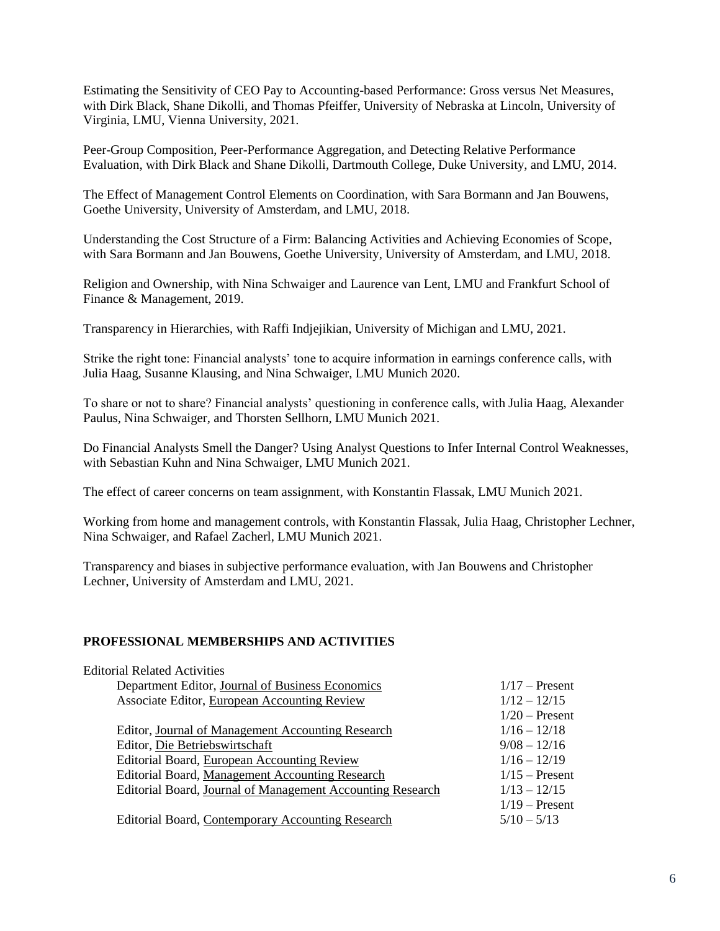Estimating the Sensitivity of CEO Pay to Accounting-based Performance: Gross versus Net Measures, with Dirk Black, Shane Dikolli, and Thomas Pfeiffer, University of Nebraska at Lincoln, University of Virginia, LMU, Vienna University, 2021.

Peer-Group Composition, Peer-Performance Aggregation, and Detecting Relative Performance Evaluation, with Dirk Black and Shane Dikolli, Dartmouth College, Duke University, and LMU, 2014.

The Effect of Management Control Elements on Coordination, with Sara Bormann and Jan Bouwens, Goethe University, University of Amsterdam, and LMU, 2018.

Understanding the Cost Structure of a Firm: Balancing Activities and Achieving Economies of Scope, with Sara Bormann and Jan Bouwens, Goethe University, University of Amsterdam, and LMU, 2018.

Religion and Ownership, with Nina Schwaiger and Laurence van Lent, LMU and Frankfurt School of Finance & Management, 2019.

Transparency in Hierarchies, with Raffi Indjejikian, University of Michigan and LMU, 2021.

Strike the right tone: Financial analysts' tone to acquire information in earnings conference calls, with Julia Haag, Susanne Klausing, and Nina Schwaiger, LMU Munich 2020.

To share or not to share? Financial analysts' questioning in conference calls, with Julia Haag, Alexander Paulus, Nina Schwaiger, and Thorsten Sellhorn, LMU Munich 2021.

Do Financial Analysts Smell the Danger? Using Analyst Questions to Infer Internal Control Weaknesses, with Sebastian Kuhn and Nina Schwaiger, LMU Munich 2021.

The effect of career concerns on team assignment, with Konstantin Flassak, LMU Munich 2021.

Working from home and management controls, with Konstantin Flassak, Julia Haag, Christopher Lechner, Nina Schwaiger, and Rafael Zacherl, LMU Munich 2021.

Transparency and biases in subjective performance evaluation, with Jan Bouwens and Christopher Lechner, University of Amsterdam and LMU, 2021.

### **PROFESSIONAL MEMBERSHIPS AND ACTIVITIES**

| <b>Editorial Related Activities</b>                        |                  |
|------------------------------------------------------------|------------------|
| Department Editor, Journal of Business Economics           | $1/17$ – Present |
| Associate Editor, European Accounting Review               | $1/12 - 12/15$   |
|                                                            | $1/20$ – Present |
| Editor, Journal of Management Accounting Research          | $1/16 - 12/18$   |
| Editor, Die Betriebswirtschaft                             | $9/08 - 12/16$   |
| Editorial Board, European Accounting Review                | $1/16 - 12/19$   |
| Editorial Board, Management Accounting Research            | $1/15$ – Present |
| Editorial Board, Journal of Management Accounting Research | $1/13 - 12/15$   |
|                                                            | $1/19$ – Present |
| Editorial Board, Contemporary Accounting Research          | $5/10 - 5/13$    |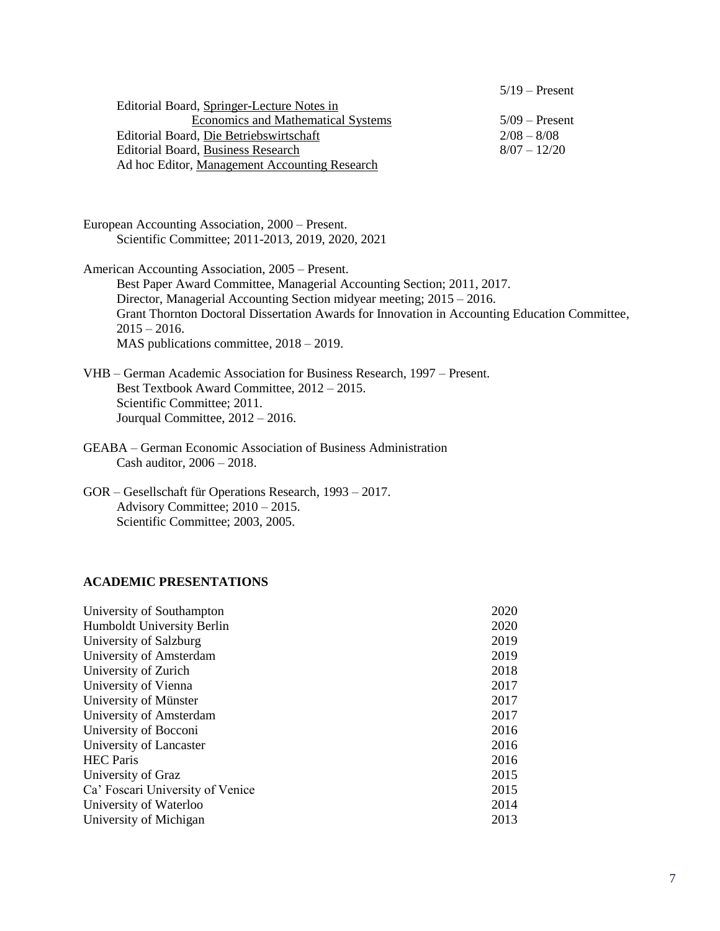|                                               | $5/19$ – Present |
|-----------------------------------------------|------------------|
| Editorial Board, Springer-Lecture Notes in    |                  |
| <b>Economics and Mathematical Systems</b>     | $5/09$ – Present |
| Editorial Board, Die Betriebswirtschaft       | $2/08 - 8/08$    |
| Editorial Board, Business Research            | $8/07 - 12/20$   |
| Ad hoc Editor, Management Accounting Research |                  |

European Accounting Association, 2000 – Present. Scientific Committee; 2011-2013, 2019, 2020, 2021

American Accounting Association, 2005 – Present.

Best Paper Award Committee, Managerial Accounting Section; 2011, 2017. Director, Managerial Accounting Section midyear meeting; 2015 – 2016. Grant Thornton Doctoral Dissertation Awards for Innovation in Accounting Education Committee,  $2015 - 2016.$ MAS publications committee, 2018 – 2019.

- VHB German Academic Association for Business Research, 1997 Present. Best Textbook Award Committee, 2012 – 2015. Scientific Committee; 2011. Jourqual Committee, 2012 – 2016.
- GEABA German Economic Association of Business Administration Cash auditor, 2006 – 2018.
- GOR Gesellschaft für Operations Research, 1993 2017. Advisory Committee; 2010 – 2015. Scientific Committee; 2003, 2005.

# **ACADEMIC PRESENTATIONS**

| University of Southampton        | 2020 |
|----------------------------------|------|
| Humboldt University Berlin       | 2020 |
| University of Salzburg           | 2019 |
| University of Amsterdam          | 2019 |
| University of Zurich             | 2018 |
| University of Vienna             | 2017 |
| University of Münster            | 2017 |
| University of Amsterdam          | 2017 |
| University of Bocconi            | 2016 |
| University of Lancaster          | 2016 |
| <b>HEC</b> Paris                 | 2016 |
| University of Graz               | 2015 |
| Ca' Foscari University of Venice | 2015 |
| University of Waterloo           | 2014 |
| University of Michigan           | 2013 |
|                                  |      |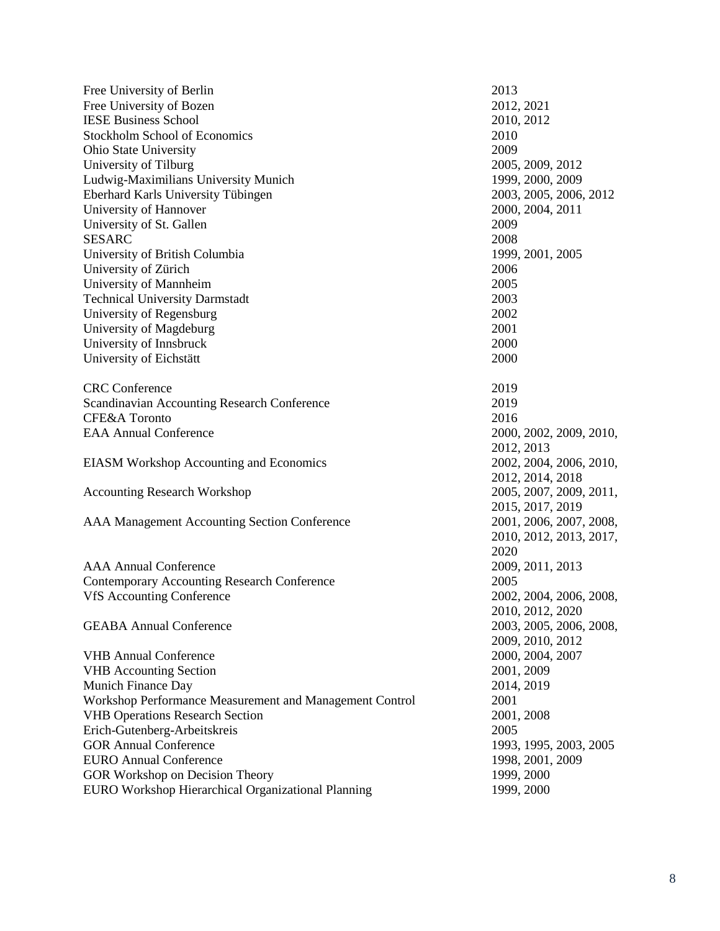| Free University of Berlin                               | 2013                    |
|---------------------------------------------------------|-------------------------|
| Free University of Bozen                                | 2012, 2021              |
| <b>IESE Business School</b>                             | 2010, 2012              |
| <b>Stockholm School of Economics</b>                    | 2010                    |
| Ohio State University                                   | 2009                    |
| University of Tilburg                                   | 2005, 2009, 2012        |
| Ludwig-Maximilians University Munich                    | 1999, 2000, 2009        |
| Eberhard Karls University Tübingen                      | 2003, 2005, 2006, 2012  |
| University of Hannover                                  | 2000, 2004, 2011        |
| University of St. Gallen                                | 2009                    |
| <b>SESARC</b>                                           | 2008                    |
| University of British Columbia                          | 1999, 2001, 2005        |
| University of Zürich                                    | 2006                    |
| University of Mannheim                                  | 2005                    |
| <b>Technical University Darmstadt</b>                   | 2003                    |
| University of Regensburg                                | 2002                    |
| University of Magdeburg                                 | 2001                    |
| University of Innsbruck                                 | 2000                    |
| University of Eichstätt                                 | 2000                    |
|                                                         |                         |
| <b>CRC</b> Conference                                   | 2019                    |
| Scandinavian Accounting Research Conference             | 2019                    |
| CFE&A Toronto                                           | 2016                    |
| <b>EAA Annual Conference</b>                            | 2000, 2002, 2009, 2010, |
|                                                         | 2012, 2013              |
| <b>EIASM Workshop Accounting and Economics</b>          | 2002, 2004, 2006, 2010, |
|                                                         | 2012, 2014, 2018        |
| <b>Accounting Research Workshop</b>                     | 2005, 2007, 2009, 2011, |
|                                                         | 2015, 2017, 2019        |
| AAA Management Accounting Section Conference            | 2001, 2006, 2007, 2008, |
|                                                         | 2010, 2012, 2013, 2017, |
|                                                         | 2020                    |
| <b>AAA Annual Conference</b>                            | 2009, 2011, 2013        |
| <b>Contemporary Accounting Research Conference</b>      | 2005                    |
| <b>VfS Accounting Conference</b>                        | 2002, 2004, 2006, 2008, |
|                                                         | 2010, 2012, 2020        |
| <b>GEABA Annual Conference</b>                          | 2003, 2005, 2006, 2008, |
|                                                         | 2009, 2010, 2012        |
| <b>VHB Annual Conference</b>                            | 2000, 2004, 2007        |
| <b>VHB</b> Accounting Section                           | 2001, 2009              |
| <b>Munich Finance Day</b>                               | 2014, 2019              |
| Workshop Performance Measurement and Management Control | 2001                    |
| <b>VHB Operations Research Section</b>                  | 2001, 2008              |
| Erich-Gutenberg-Arbeitskreis                            | 2005                    |
| <b>GOR Annual Conference</b>                            | 1993, 1995, 2003, 2005  |
| <b>EURO Annual Conference</b>                           | 1998, 2001, 2009        |
| GOR Workshop on Decision Theory                         | 1999, 2000              |
| EURO Workshop Hierarchical Organizational Planning      | 1999, 2000              |
|                                                         |                         |